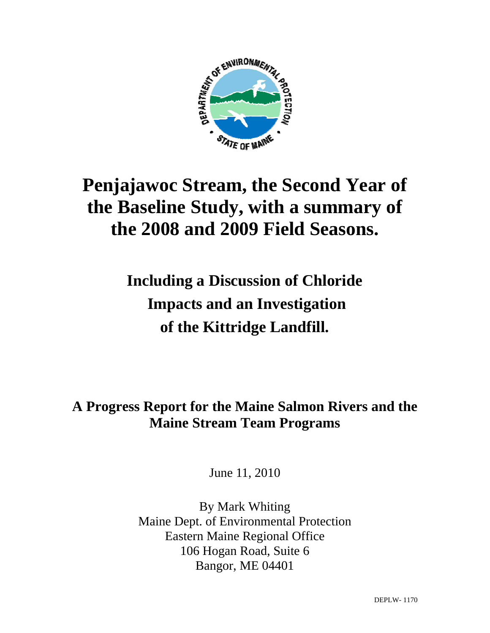

# **Penjajawoc Stream, the Second Year of the Baseline Study, with a summary of the 2008 and 2009 Field Seasons.**

# **Including a Discussion of Chloride Impacts and an Investigation of the Kittridge Landfill.**

## **A Progress Report for the Maine Salmon Rivers and the Maine Stream Team Programs**

June 11, 2010

By Mark Whiting Maine Dept. of Environmental Protection Eastern Maine Regional Office 106 Hogan Road, Suite 6 Bangor, ME 04401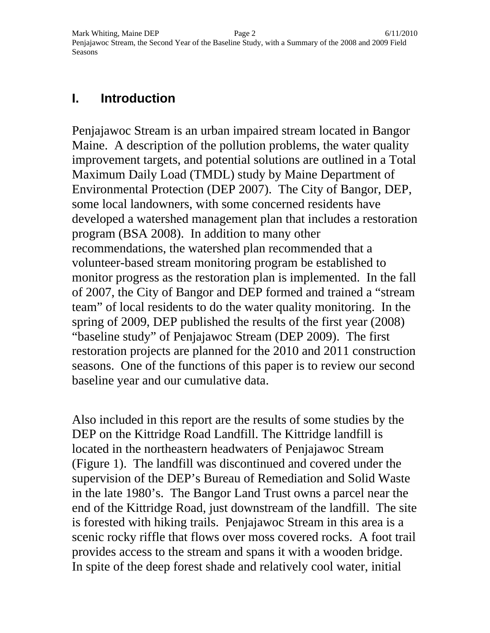#### **I. Introduction**

Penjajawoc Stream is an urban impaired stream located in Bangor Maine. A description of the pollution problems, the water quality improvement targets, and potential solutions are outlined in a Total Maximum Daily Load (TMDL) study by Maine Department of Environmental Protection (DEP 2007). The City of Bangor, DEP, some local landowners, with some concerned residents have developed a watershed management plan that includes a restoration program (BSA 2008). In addition to many other recommendations, the watershed plan recommended that a volunteer-based stream monitoring program be established to monitor progress as the restoration plan is implemented. In the fall of 2007, the City of Bangor and DEP formed and trained a "stream team" of local residents to do the water quality monitoring. In the spring of 2009, DEP published the results of the first year (2008) "baseline study" of Penjajawoc Stream (DEP 2009). The first restoration projects are planned for the 2010 and 2011 construction seasons. One of the functions of this paper is to review our second baseline year and our cumulative data.

Also included in this report are the results of some studies by the DEP on the Kittridge Road Landfill. The Kittridge landfill is located in the northeastern headwaters of Penjajawoc Stream (Figure 1). The landfill was discontinued and covered under the supervision of the DEP's Bureau of Remediation and Solid Waste in the late 1980's. The Bangor Land Trust owns a parcel near the end of the Kittridge Road, just downstream of the landfill. The site is forested with hiking trails. Penjajawoc Stream in this area is a scenic rocky riffle that flows over moss covered rocks. A foot trail provides access to the stream and spans it with a wooden bridge. In spite of the deep forest shade and relatively cool water, initial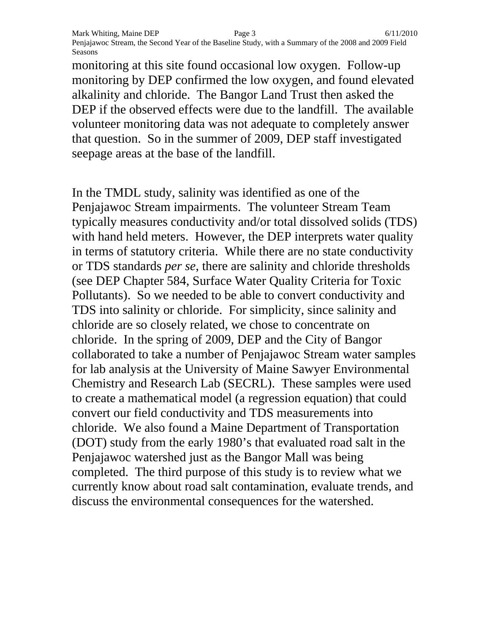Mark Whiting, Maine DEP Page 3 6/11/2010 Penjajawoc Stream, the Second Year of the Baseline Study, with a Summary of the 2008 and 2009 Field Seasons

monitoring at this site found occasional low oxygen. Follow-up monitoring by DEP confirmed the low oxygen, and found elevated alkalinity and chloride. The Bangor Land Trust then asked the DEP if the observed effects were due to the landfill. The available volunteer monitoring data was not adequate to completely answer that question. So in the summer of 2009, DEP staff investigated seepage areas at the base of the landfill.

In the TMDL study, salinity was identified as one of the Penjajawoc Stream impairments. The volunteer Stream Team typically measures conductivity and/or total dissolved solids (TDS) with hand held meters. However, the DEP interprets water quality in terms of statutory criteria. While there are no state conductivity or TDS standards *per se*, there are salinity and chloride thresholds (see DEP Chapter 584, Surface Water Quality Criteria for Toxic Pollutants). So we needed to be able to convert conductivity and TDS into salinity or chloride. For simplicity, since salinity and chloride are so closely related, we chose to concentrate on chloride. In the spring of 2009, DEP and the City of Bangor collaborated to take a number of Penjajawoc Stream water samples for lab analysis at the University of Maine Sawyer Environmental Chemistry and Research Lab (SECRL). These samples were used to create a mathematical model (a regression equation) that could convert our field conductivity and TDS measurements into chloride. We also found a Maine Department of Transportation (DOT) study from the early 1980's that evaluated road salt in the Penjajawoc watershed just as the Bangor Mall was being completed. The third purpose of this study is to review what we currently know about road salt contamination, evaluate trends, and discuss the environmental consequences for the watershed.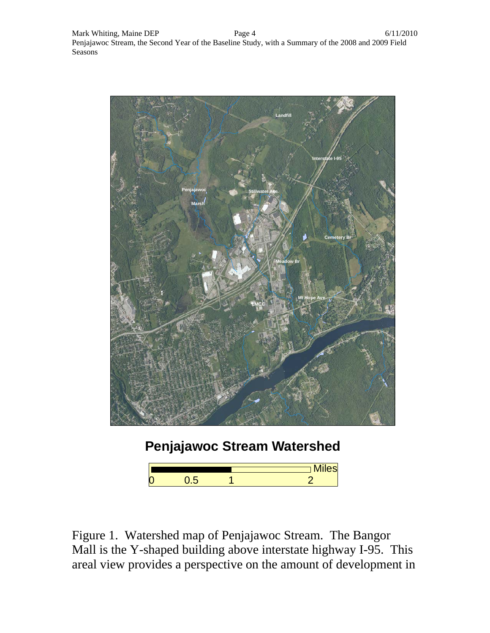

## **Penjajawoc Stream Watershed**

|   |  | <b>N.A.L.</b><br><b>Miles</b> |
|---|--|-------------------------------|
| 0 |  |                               |

Figure 1. Watershed map of Penjajawoc Stream. The Bangor Mall is the Y-shaped building above interstate highway I-95. This areal view provides a perspective on the amount of development in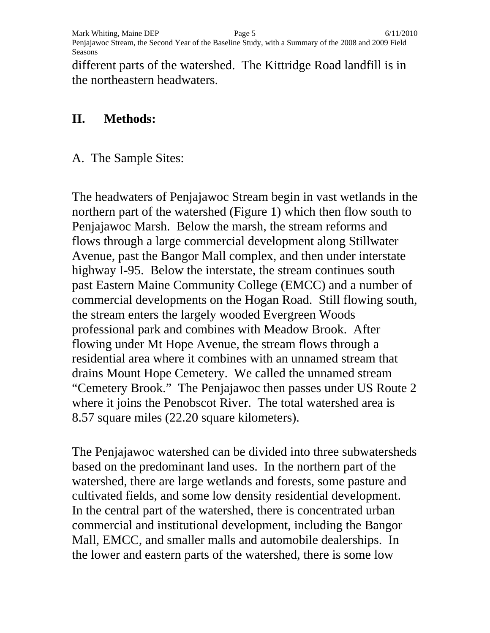Mark Whiting, Maine DEP  $\qquad \qquad \qquad$  Page 5 6/11/2010 Penjajawoc Stream, the Second Year of the Baseline Study, with a Summary of the 2008 and 2009 Field Seasons

different parts of the watershed. The Kittridge Road landfill is in the northeastern headwaters.

#### **II. Methods:**

A. The Sample Sites:

The headwaters of Penjajawoc Stream begin in vast wetlands in the northern part of the watershed (Figure 1) which then flow south to Penjajawoc Marsh. Below the marsh, the stream reforms and flows through a large commercial development along Stillwater Avenue, past the Bangor Mall complex, and then under interstate highway I-95. Below the interstate, the stream continues south past Eastern Maine Community College (EMCC) and a number of commercial developments on the Hogan Road. Still flowing south, the stream enters the largely wooded Evergreen Woods professional park and combines with Meadow Brook. After flowing under Mt Hope Avenue, the stream flows through a residential area where it combines with an unnamed stream that drains Mount Hope Cemetery. We called the unnamed stream "Cemetery Brook." The Penjajawoc then passes under US Route 2 where it joins the Penobscot River. The total watershed area is 8.57 square miles (22.20 square kilometers).

The Penjajawoc watershed can be divided into three subwatersheds based on the predominant land uses. In the northern part of the watershed, there are large wetlands and forests, some pasture and cultivated fields, and some low density residential development. In the central part of the watershed, there is concentrated urban commercial and institutional development, including the Bangor Mall, EMCC, and smaller malls and automobile dealerships. In the lower and eastern parts of the watershed, there is some low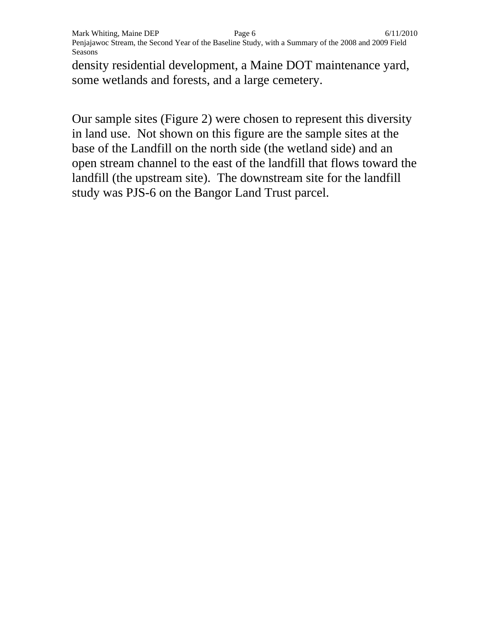density residential development, a Maine DOT maintenance yard, some wetlands and forests, and a large cemetery.

Our sample sites (Figure 2) were chosen to represent this diversity in land use. Not shown on this figure are the sample sites at the base of the Landfill on the north side (the wetland side) and an open stream channel to the east of the landfill that flows toward the landfill (the upstream site). The downstream site for the landfill study was PJS-6 on the Bangor Land Trust parcel.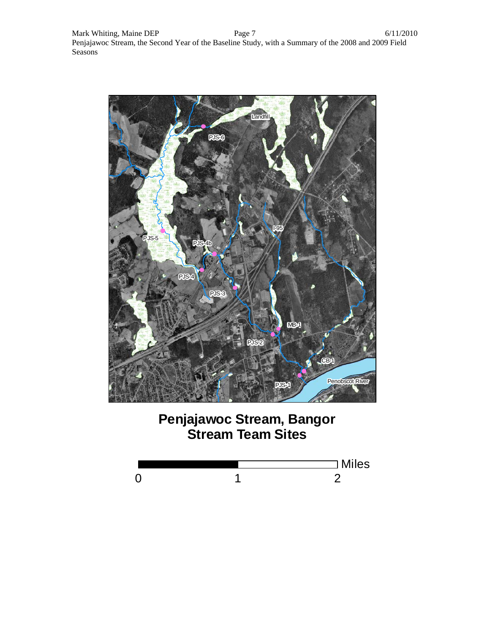

### **Penjajawoc Stream, Bangor Stream Team Sites**

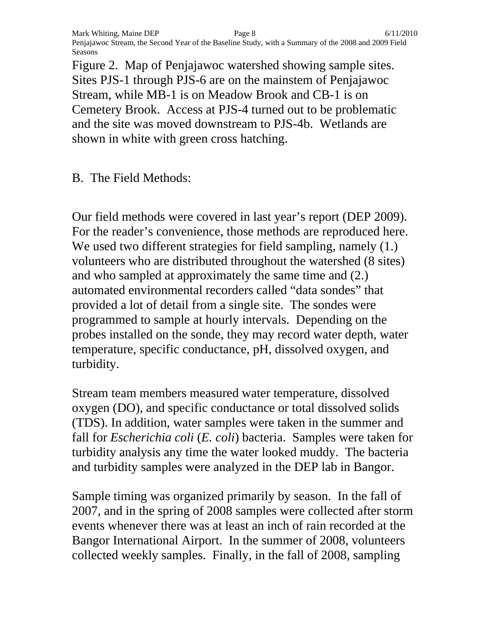Mark Whiting, Maine DEP Page 8 6/11/2010 Penjajawoc Stream, the Second Year of the Baseline Study, with a Summary of the 2008 and 2009 Field Seasons

Figure 2. Map of Penjajawoc watershed showing sample sites. Sites PJS-1 through PJS-6 are on the mainstem of Penjajawoc Stream, while MB-1 is on Meadow Brook and CB-1 is on Cemetery Brook. Access at PJS-4 turned out to be problematic and the site was moved downstream to PJS-4b. Wetlands are shown in white with green cross hatching.

B. The Field Methods:

Our field methods were covered in last year's report (DEP 2009). For the reader's convenience, those methods are reproduced here. We used two different strategies for field sampling, namely  $(1)$ . volunteers who are distributed throughout the watershed (8 sites) and who sampled at approximately the same time and (2.) automated environmental recorders called "data sondes" that provided a lot of detail from a single site. The sondes were programmed to sample at hourly intervals. Depending on the probes installed on the sonde, they may record water depth, water temperature, specific conductance, pH, dissolved oxygen, and turbidity.

Stream team members measured water temperature, dissolved oxygen (DO), and specific conductance or total dissolved solids (TDS). In addition, water samples were taken in the summer and fall for *Escherichia coli* (*E. coli*) bacteria. Samples were taken for turbidity analysis any time the water looked muddy. The bacteria and turbidity samples were analyzed in the DEP lab in Bangor.

Sample timing was organized primarily by season. In the fall of 2007, and in the spring of 2008 samples were collected after storm events whenever there was at least an inch of rain recorded at the Bangor International Airport. In the summer of 2008, volunteers collected weekly samples. Finally, in the fall of 2008, sampling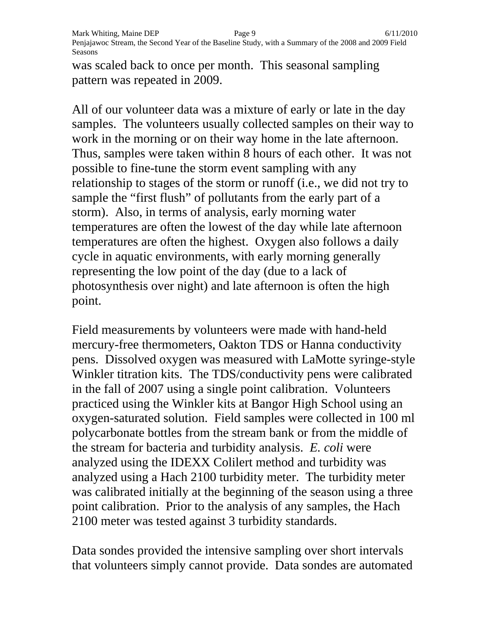Mark Whiting, Maine DEP Page 9 6/11/2010 Penjajawoc Stream, the Second Year of the Baseline Study, with a Summary of the 2008 and 2009 Field Seasons

was scaled back to once per month. This seasonal sampling pattern was repeated in 2009.

All of our volunteer data was a mixture of early or late in the day samples. The volunteers usually collected samples on their way to work in the morning or on their way home in the late afternoon. Thus, samples were taken within 8 hours of each other. It was not possible to fine-tune the storm event sampling with any relationship to stages of the storm or runoff (i.e., we did not try to sample the "first flush" of pollutants from the early part of a storm). Also, in terms of analysis, early morning water temperatures are often the lowest of the day while late afternoon temperatures are often the highest. Oxygen also follows a daily cycle in aquatic environments, with early morning generally representing the low point of the day (due to a lack of photosynthesis over night) and late afternoon is often the high point.

Field measurements by volunteers were made with hand-held mercury-free thermometers, Oakton TDS or Hanna conductivity pens. Dissolved oxygen was measured with LaMotte syringe-style Winkler titration kits. The TDS/conductivity pens were calibrated in the fall of 2007 using a single point calibration. Volunteers practiced using the Winkler kits at Bangor High School using an oxygen-saturated solution. Field samples were collected in 100 ml polycarbonate bottles from the stream bank or from the middle of the stream for bacteria and turbidity analysis. *E. coli* were analyzed using the IDEXX Colilert method and turbidity was analyzed using a Hach 2100 turbidity meter. The turbidity meter was calibrated initially at the beginning of the season using a three point calibration. Prior to the analysis of any samples, the Hach 2100 meter was tested against 3 turbidity standards.

Data sondes provided the intensive sampling over short intervals that volunteers simply cannot provide. Data sondes are automated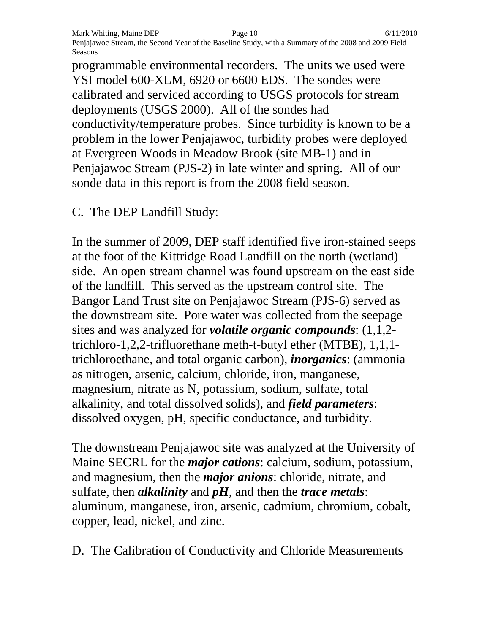programmable environmental recorders. The units we used were YSI model 600-XLM, 6920 or 6600 EDS. The sondes were calibrated and serviced according to USGS protocols for stream deployments (USGS 2000). All of the sondes had conductivity/temperature probes. Since turbidity is known to be a problem in the lower Penjajawoc, turbidity probes were deployed at Evergreen Woods in Meadow Brook (site MB-1) and in Penjajawoc Stream (PJS-2) in late winter and spring. All of our sonde data in this report is from the 2008 field season.

C. The DEP Landfill Study:

In the summer of 2009, DEP staff identified five iron-stained seeps at the foot of the Kittridge Road Landfill on the north (wetland) side. An open stream channel was found upstream on the east side of the landfill. This served as the upstream control site. The Bangor Land Trust site on Penjajawoc Stream (PJS-6) served as the downstream site. Pore water was collected from the seepage sites and was analyzed for *volatile organic compounds*: (1,1,2 trichloro-1,2,2-trifluorethane meth-t-butyl ether (MTBE), 1,1,1 trichloroethane, and total organic carbon), *inorganics*: (ammonia as nitrogen, arsenic, calcium, chloride, iron, manganese, magnesium, nitrate as N, potassium, sodium, sulfate, total alkalinity, and total dissolved solids), and *field parameters*: dissolved oxygen, pH, specific conductance, and turbidity.

The downstream Penjajawoc site was analyzed at the University of Maine SECRL for the *major cations*: calcium, sodium, potassium, and magnesium, then the *major anions*: chloride, nitrate, and sulfate, then *alkalinity* and *pH*, and then the *trace metals*: aluminum, manganese, iron, arsenic, cadmium, chromium, cobalt, copper, lead, nickel, and zinc.

D. The Calibration of Conductivity and Chloride Measurements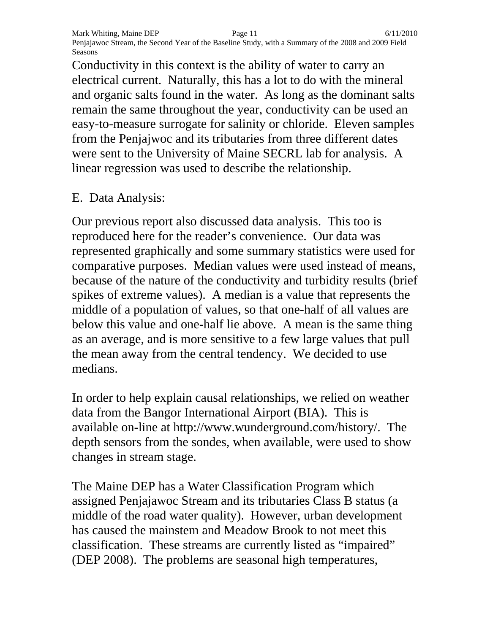Conductivity in this context is the ability of water to carry an electrical current. Naturally, this has a lot to do with the mineral and organic salts found in the water. As long as the dominant salts remain the same throughout the year, conductivity can be used an easy-to-measure surrogate for salinity or chloride. Eleven samples from the Penjajwoc and its tributaries from three different dates were sent to the University of Maine SECRL lab for analysis. A linear regression was used to describe the relationship.

#### E. Data Analysis:

Our previous report also discussed data analysis. This too is reproduced here for the reader's convenience. Our data was represented graphically and some summary statistics were used for comparative purposes. Median values were used instead of means, because of the nature of the conductivity and turbidity results (brief spikes of extreme values). A median is a value that represents the middle of a population of values, so that one-half of all values are below this value and one-half lie above. A mean is the same thing as an average, and is more sensitive to a few large values that pull the mean away from the central tendency. We decided to use medians.

In order to help explain causal relationships, we relied on weather data from the Bangor International Airport (BIA). This is available on-line at http://www.wunderground.com/history/. The depth sensors from the sondes, when available, were used to show changes in stream stage.

The Maine DEP has a Water Classification Program which assigned Penjajawoc Stream and its tributaries Class B status (a middle of the road water quality). However, urban development has caused the mainstem and Meadow Brook to not meet this classification. These streams are currently listed as "impaired" (DEP 2008). The problems are seasonal high temperatures,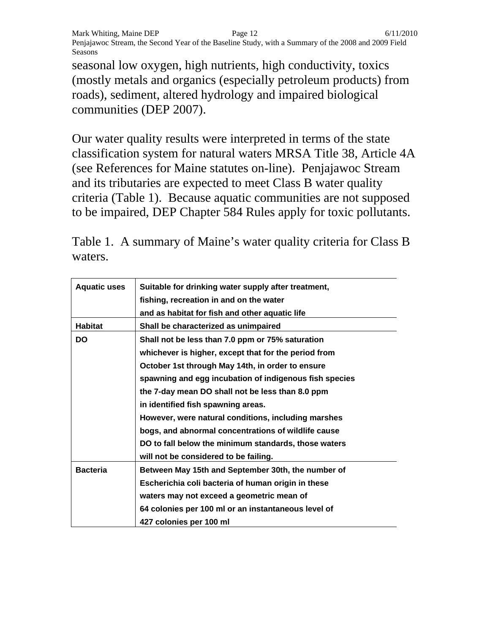Mark Whiting, Maine DEP **Page 12** 6/11/2010 Penjajawoc Stream, the Second Year of the Baseline Study, with a Summary of the 2008 and 2009 Field Seasons

seasonal low oxygen, high nutrients, high conductivity, toxics (mostly metals and organics (especially petroleum products) from roads), sediment, altered hydrology and impaired biological communities (DEP 2007).

Our water quality results were interpreted in terms of the state classification system for natural waters MRSA Title 38, Article 4A (see References for Maine statutes on-line). Penjajawoc Stream and its tributaries are expected to meet Class B water quality criteria (Table 1). Because aquatic communities are not supposed to be impaired, DEP Chapter 584 Rules apply for toxic pollutants.

Table 1. A summary of Maine's water quality criteria for Class B waters.

| <b>Aquatic uses</b> | Suitable for drinking water supply after treatment,<br>fishing, recreation in and on the water<br>and as habitat for fish and other aquatic life |
|---------------------|--------------------------------------------------------------------------------------------------------------------------------------------------|
| <b>Habitat</b>      | Shall be characterized as unimpaired                                                                                                             |
| <b>DO</b>           | Shall not be less than 7.0 ppm or 75% saturation                                                                                                 |
|                     | whichever is higher, except that for the period from                                                                                             |
|                     | October 1st through May 14th, in order to ensure                                                                                                 |
|                     | spawning and egg incubation of indigenous fish species                                                                                           |
|                     | the 7-day mean DO shall not be less than 8.0 ppm                                                                                                 |
|                     | in identified fish spawning areas.                                                                                                               |
|                     | However, were natural conditions, including marshes                                                                                              |
|                     | bogs, and abnormal concentrations of wildlife cause                                                                                              |
|                     | DO to fall below the minimum standards, those waters                                                                                             |
|                     | will not be considered to be failing.                                                                                                            |
| <b>Bacteria</b>     | Between May 15th and September 30th, the number of                                                                                               |
|                     | Escherichia coli bacteria of human origin in these                                                                                               |
|                     | waters may not exceed a geometric mean of                                                                                                        |
|                     | 64 colonies per 100 ml or an instantaneous level of                                                                                              |
|                     | 427 colonies per 100 ml                                                                                                                          |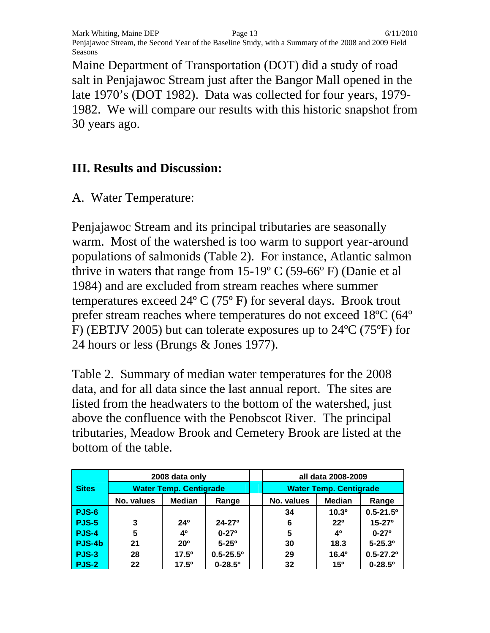Mark Whiting, Maine DEP **Page 13** 6/11/2010 Penjajawoc Stream, the Second Year of the Baseline Study, with a Summary of the 2008 and 2009 Field Seasons

Maine Department of Transportation (DOT) did a study of road salt in Penjajawoc Stream just after the Bangor Mall opened in the late 1970's (DOT 1982). Data was collected for four years, 1979- 1982. We will compare our results with this historic snapshot from 30 years ago.

#### **III. Results and Discussion:**

A. Water Temperature:

Penjajawoc Stream and its principal tributaries are seasonally warm. Most of the watershed is too warm to support year-around populations of salmonids (Table 2). For instance, Atlantic salmon thrive in waters that range from  $15{\text -}19^{\circ}$  C (59-66 $^{\circ}$  F) (Danie et al 1984) and are excluded from stream reaches where summer temperatures exceed 24º C (75º F) for several days. Brook trout prefer stream reaches where temperatures do not exceed 18ºC (64º F) (EBTJV 2005) but can tolerate exposures up to 24ºC (75ºF) for 24 hours or less (Brungs & Jones 1977).

Table 2. Summary of median water temperatures for the 2008 data, and for all data since the last annual report. The sites are listed from the headwaters to the bottom of the watershed, just above the confluence with the Penobscot River. The principal tributaries, Meadow Brook and Cemetery Brook are listed at the bottom of the table.

|              |                               | 2008 data only  |                           |  | all data 2008-2009            |                |                           |  |  |
|--------------|-------------------------------|-----------------|---------------------------|--|-------------------------------|----------------|---------------------------|--|--|
| <b>Sites</b> | <b>Water Temp. Centigrade</b> |                 |                           |  | <b>Water Temp. Centigrade</b> |                |                           |  |  |
|              | No. values                    | <b>Median</b>   | Range                     |  | No. values                    | <b>Median</b>  | Range                     |  |  |
| <b>PJS-6</b> |                               |                 |                           |  | 34                            | $10.3^{\circ}$ | $0.5 - 21.5$ <sup>o</sup> |  |  |
| <b>PJS-5</b> | 3                             | 24 <sup>0</sup> | $24 - 27$ <sup>o</sup>    |  | 6                             | 220            | $15 - 27$ <sup>o</sup>    |  |  |
| <b>PJS-4</b> | 5                             | 40              | $0 - 27$ <sup>o</sup>     |  | 5                             | 40             | $0 - 27$ <sup>o</sup>     |  |  |
| PJS-4b       | 21                            | 20 <sup>o</sup> | $5 - 25^{\circ}$          |  | 30                            | 18.3           | $5 - 25.3$ <sup>o</sup>   |  |  |
| <b>PJS-3</b> | 28                            | $17.5^{\circ}$  | $0.5 - 25.5$ <sup>o</sup> |  | 29                            | $16.4^{\circ}$ | $0.5 - 27.2$ <sup>o</sup> |  |  |
| <b>PJS-2</b> | 22                            | $17.5^{\circ}$  | $0 - 28.5$ <sup>o</sup>   |  | 32                            | $15^{o}$       | $0 - 28.5$ <sup>o</sup>   |  |  |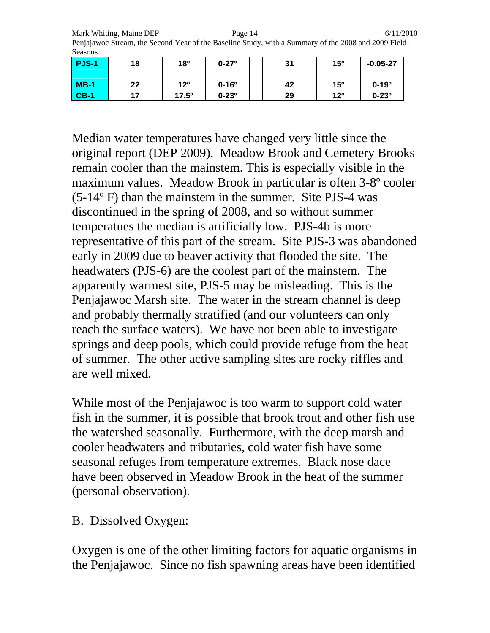Mark Whiting, Maine DEP **Page 14** 6/11/2010 Penjajawoc Stream, the Second Year of the Baseline Study, with a Summary of the 2008 and 2009 Field Seasons

| <b>PJS-1</b> | 18 | <b>18º</b>      | $0 - 27$ <sup>o</sup> | 31 | 15°             | $-0.05 - 27$     |
|--------------|----|-----------------|-----------------------|----|-----------------|------------------|
| $MB-1$       | 22 | 12 <sup>o</sup> | $0 - 16^{\circ}$      | 42 | 15 <sup>o</sup> | $0 - 19°$        |
| $CB-1$       | 17 | 17.5°           | $0 - 23^{\circ}$      | 29 | $12^{\circ}$    | $0 - 23^{\circ}$ |

Median water temperatures have changed very little since the original report (DEP 2009). Meadow Brook and Cemetery Brooks remain cooler than the mainstem. This is especially visible in the maximum values. Meadow Brook in particular is often 3-8º cooler (5-14º F) than the mainstem in the summer. Site PJS-4 was discontinued in the spring of 2008, and so without summer temperatues the median is artificially low. PJS-4b is more representative of this part of the stream. Site PJS-3 was abandoned early in 2009 due to beaver activity that flooded the site. The headwaters (PJS-6) are the coolest part of the mainstem. The apparently warmest site, PJS-5 may be misleading. This is the Penjajawoc Marsh site. The water in the stream channel is deep and probably thermally stratified (and our volunteers can only reach the surface waters). We have not been able to investigate springs and deep pools, which could provide refuge from the heat of summer. The other active sampling sites are rocky riffles and are well mixed.

While most of the Penjajawoc is too warm to support cold water fish in the summer, it is possible that brook trout and other fish use the watershed seasonally. Furthermore, with the deep marsh and cooler headwaters and tributaries, cold water fish have some seasonal refuges from temperature extremes. Black nose dace have been observed in Meadow Brook in the heat of the summer (personal observation).

B. Dissolved Oxygen:

Oxygen is one of the other limiting factors for aquatic organisms in the Penjajawoc. Since no fish spawning areas have been identified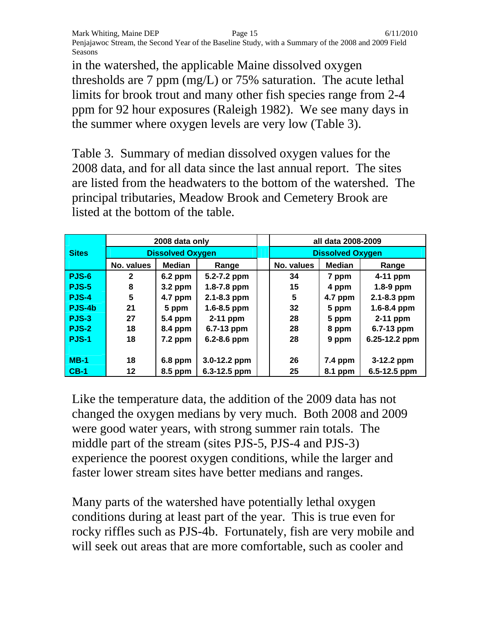in the watershed, the applicable Maine dissolved oxygen thresholds are 7 ppm (mg/L) or 75% saturation. The acute lethal limits for brook trout and many other fish species range from 2-4 ppm for 92 hour exposures (Raleigh 1982). We see many days in the summer where oxygen levels are very low (Table 3).

Table 3. Summary of median dissolved oxygen values for the 2008 data, and for all data since the last annual report. The sites are listed from the headwaters to the bottom of the watershed. The principal tributaries, Meadow Brook and Cemetery Brook are listed at the bottom of the table.

|                   |                         | 2008 data only |                 |                         | all data 2008-2009 |                 |  |
|-------------------|-------------------------|----------------|-----------------|-------------------------|--------------------|-----------------|--|
| <b>Sites</b>      | <b>Dissolved Oxygen</b> |                |                 | <b>Dissolved Oxygen</b> |                    |                 |  |
|                   | No. values              | <b>Median</b>  | Range           | No. values              | <b>Median</b>      | Range           |  |
| PJS-6             | $\mathbf{2}$            | $6.2$ ppm      | 5.2-7.2 ppm     | 34                      | 7 ppm              | 4-11 ppm        |  |
| <b>PJS-5</b>      | 8                       | $3.2$ ppm      | 1.8-7.8 ppm     | 15                      | 4 ppm              | 1.8-9 ppm       |  |
| PJS-4             | 5                       | 4.7 ppm        | 2.1-8.3 ppm     | 5                       | 4.7 ppm            | 2.1-8.3 ppm     |  |
| PJS-4b            | 21                      | 5 ppm          | $1.6 - 8.5$ ppm | 32 <sub>2</sub>         | 5 ppm              | $1.6 - 8.4$ ppm |  |
| $PJS-3$           | 27                      | 5.4 ppm        | 2-11 ppm        | 28                      | 5 ppm              | 2-11 ppm        |  |
| <b>PJS-2</b>      | 18                      | 8.4 ppm        | 6.7-13 ppm      | 28                      | 8 ppm              | 6.7-13 ppm      |  |
| PJS-1             | 18                      | $7.2$ ppm      | 6.2-8.6 ppm     | 28                      | 9 ppm              | 6.25-12.2 ppm   |  |
|                   |                         |                |                 |                         |                    |                 |  |
| $MB-1$            | 18                      | 6.8 ppm        | 3.0-12.2 ppm    | 26                      | $7.4$ ppm          | 3-12.2 ppm      |  |
| $\overline{CB-1}$ | 12                      | 8.5 ppm        | 6.3-12.5 ppm    | 25                      | 8.1 ppm            | 6.5-12.5 ppm    |  |

Like the temperature data, the addition of the 2009 data has not changed the oxygen medians by very much. Both 2008 and 2009 were good water years, with strong summer rain totals. The middle part of the stream (sites PJS-5, PJS-4 and PJS-3) experience the poorest oxygen conditions, while the larger and faster lower stream sites have better medians and ranges.

Many parts of the watershed have potentially lethal oxygen conditions during at least part of the year. This is true even for rocky riffles such as PJS-4b. Fortunately, fish are very mobile and will seek out areas that are more comfortable, such as cooler and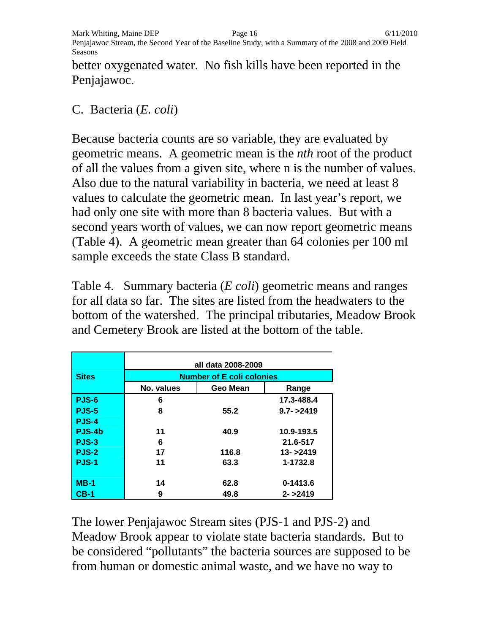better oxygenated water. No fish kills have been reported in the Penjajawoc.

#### C. Bacteria (*E. coli*)

Because bacteria counts are so variable, they are evaluated by geometric means. A geometric mean is the *nth* root of the product of all the values from a given site, where n is the number of values. Also due to the natural variability in bacteria, we need at least 8 values to calculate the geometric mean. In last year's report, we had only one site with more than 8 bacteria values. But with a second years worth of values, we can now report geometric means (Table 4). A geometric mean greater than 64 colonies per 100 ml sample exceeds the state Class B standard.

Table 4. Summary bacteria (*E coli*) geometric means and ranges for all data so far. The sites are listed from the headwaters to the bottom of the watershed. The principal tributaries, Meadow Brook and Cemetery Brook are listed at the bottom of the table.

|              | all data 2008-2009               |       |              |  |  |  |  |  |  |  |
|--------------|----------------------------------|-------|--------------|--|--|--|--|--|--|--|
| <b>Sites</b> | <b>Number of E coli colonies</b> |       |              |  |  |  |  |  |  |  |
|              | No. values                       | Range |              |  |  |  |  |  |  |  |
| PJS-6        | 6                                |       | 17.3-488.4   |  |  |  |  |  |  |  |
| PJS-5        | 8                                | 55.2  | $9.7 - 2419$ |  |  |  |  |  |  |  |
| PJS-4        |                                  |       |              |  |  |  |  |  |  |  |
| PJS-4b       | 11                               | 40.9  | 10.9-193.5   |  |  |  |  |  |  |  |
| PJS-3        | 6                                |       | 21.6-517     |  |  |  |  |  |  |  |
| <b>PJS-2</b> | 17                               | 116.8 | $13 - 2419$  |  |  |  |  |  |  |  |
| PJS-1        | 11                               | 63.3  | 1-1732.8     |  |  |  |  |  |  |  |
|              |                                  |       |              |  |  |  |  |  |  |  |
| $MB-1$       | 14                               | 62.8  | 0-1413.6     |  |  |  |  |  |  |  |
| $CB-1$       | 9                                | 49.8  | $2 - 2419$   |  |  |  |  |  |  |  |

The lower Penjajawoc Stream sites (PJS-1 and PJS-2) and Meadow Brook appear to violate state bacteria standards. But to be considered "pollutants" the bacteria sources are supposed to be from human or domestic animal waste, and we have no way to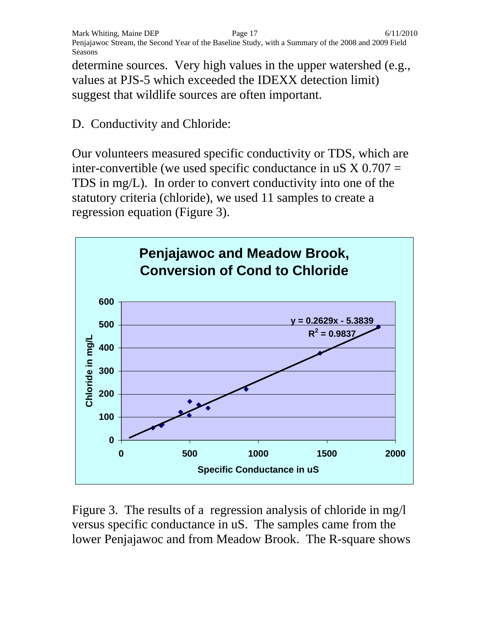Mark Whiting, Maine DEP Page 17 6/11/2010 Penjajawoc Stream, the Second Year of the Baseline Study, with a Summary of the 2008 and 2009 Field Seasons

determine sources. Very high values in the upper watershed (e.g., values at PJS-5 which exceeded the IDEXX detection limit) suggest that wildlife sources are often important.

#### D. Conductivity and Chloride:

Our volunteers measured specific conductivity or TDS, which are inter-convertible (we used specific conductance in uS  $X$  0.707 = TDS in mg/L). In order to convert conductivity into one of the statutory criteria (chloride), we used 11 samples to create a regression equation (Figure 3).



Figure 3. The results of a regression analysis of chloride in mg/l versus specific conductance in uS. The samples came from the lower Penjajawoc and from Meadow Brook. The R-square shows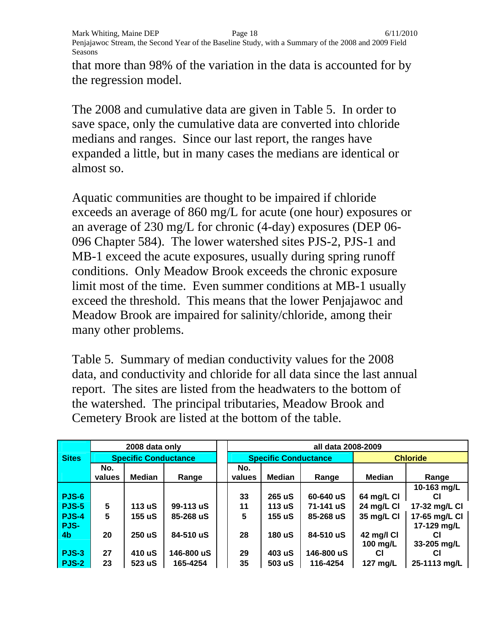that more than 98% of the variation in the data is accounted for by the regression model.

The 2008 and cumulative data are given in Table 5. In order to save space, only the cumulative data are converted into chloride medians and ranges. Since our last report, the ranges have expanded a little, but in many cases the medians are identical or almost so.

Aquatic communities are thought to be impaired if chloride exceeds an average of 860 mg/L for acute (one hour) exposures or an average of 230 mg/L for chronic (4-day) exposures (DEP 06- 096 Chapter 584). The lower watershed sites PJS-2, PJS-1 and MB-1 exceed the acute exposures, usually during spring runoff conditions. Only Meadow Brook exceeds the chronic exposure limit most of the time. Even summer conditions at MB-1 usually exceed the threshold. This means that the lower Penjajawoc and Meadow Brook are impaired for salinity/chloride, among their many other problems.

Table 5. Summary of median conductivity values for the 2008 data, and conductivity and chloride for all data since the last annual report. The sites are listed from the headwaters to the bottom of the watershed. The principal tributaries, Meadow Brook and Cemetery Brook are listed at the bottom of the table.

|                |        | 2008 data only              |            | all data 2008-2009 |                             |            |               |                 |  |  |  |  |
|----------------|--------|-----------------------------|------------|--------------------|-----------------------------|------------|---------------|-----------------|--|--|--|--|
| <b>Sites</b>   |        | <b>Specific Conductance</b> |            |                    | <b>Specific Conductance</b> |            |               | <b>Chloride</b> |  |  |  |  |
|                | No.    |                             |            | No.                |                             |            |               |                 |  |  |  |  |
|                | values | Median                      | Range      | values             | <b>Median</b>               | Range      | <b>Median</b> | Range           |  |  |  |  |
|                |        |                             |            |                    |                             |            |               | 10-163 mg/L     |  |  |  |  |
| <b>PJS-6</b>   |        |                             |            | 33                 | 265 uS                      | 60-640 uS  | 64 mg/L CI    | CI              |  |  |  |  |
| PJS-5          | 5      | 113 uS                      | 99-113 uS  | 11                 | 113 uS                      | 71-141 uS  | 24 mg/L CI    | 17-32 mg/L CI   |  |  |  |  |
| PJS-4          | 5      | 155 uS                      | 85-268 uS  | 5                  | 155 uS                      | 85-268 uS  | 35 mg/L CI    | 17-65 mg/L CI   |  |  |  |  |
| PJS-           |        |                             |            |                    |                             |            |               | 17-129 mg/L     |  |  |  |  |
| 4 <sub>b</sub> | 20     | 250 uS                      | 84-510 uS  | 28                 | 180 uS                      | 84-510 uS  | 42 mg/l Cl    | СI              |  |  |  |  |
|                |        |                             |            |                    |                             |            | 100 mg/L      | 33-205 mg/L     |  |  |  |  |
| <b>PJS-3</b>   | 27     | 410 uS                      | 146-800 uS | 29                 | 403 uS                      | 146-800 uS | СI            |                 |  |  |  |  |
| PJS-2          | 23     | 523 uS                      | 165-4254   | 35                 | 503 uS                      | 116-4254   | 127 mg/L      | 25-1113 mg/L    |  |  |  |  |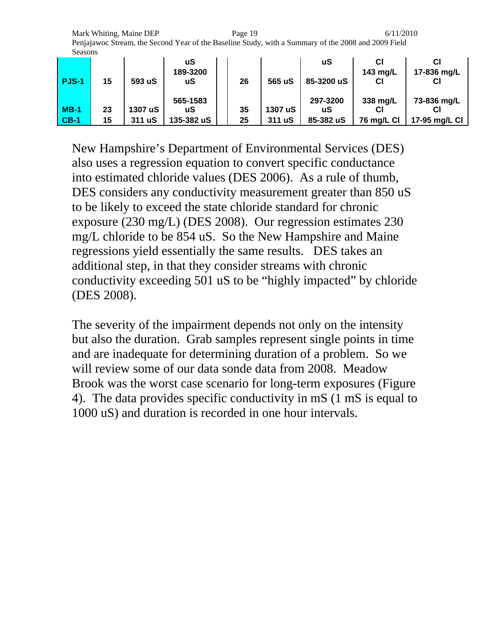Mark Whiting, Maine DEP **Page 19 Page 19** 6/11/2010 Penjajawoc Stream, the Second Year of the Baseline Study, with a Summary of the 2008 and 2009 Field Seasons

| PJS-1  | 15 | 593 uS  | uS<br>189-3200<br>uS | 26 | 565 uS  | uS<br>85-3200 uS | 143 mg/L<br>СI | 17-836 mg/L<br>СI |
|--------|----|---------|----------------------|----|---------|------------------|----------------|-------------------|
|        |    |         | 565-1583             |    |         | 297-3200         | 338 mg/L       | 73-836 mg/L       |
| $MB-1$ | 23 | 1307 uS | uS                   | 35 | 1307 uS | uS               |                |                   |
| $CB-1$ | 15 | 311 uS  | 135-382 uS           | 25 | 311 uS  | 85-382 uS        | 76 mg/L CI     | 17-95 mg/L CI     |

New Hampshire's Department of Environmental Services (DES) also uses a regression equation to convert specific conductance into estimated chloride values (DES 2006). As a rule of thumb, DES considers any conductivity measurement greater than 850 uS to be likely to exceed the state chloride standard for chronic exposure (230 mg/L) (DES 2008). Our regression estimates 230 mg/L chloride to be 854 uS. So the New Hampshire and Maine regressions yield essentially the same results. DES takes an additional step, in that they consider streams with chronic conductivity exceeding 501 uS to be "highly impacted" by chloride (DES 2008).

The severity of the impairment depends not only on the intensity but also the duration. Grab samples represent single points in time and are inadequate for determining duration of a problem. So we will review some of our data sonde data from 2008. Meadow Brook was the worst case scenario for long-term exposures (Figure 4). The data provides specific conductivity in mS (1 mS is equal to 1000 uS) and duration is recorded in one hour intervals.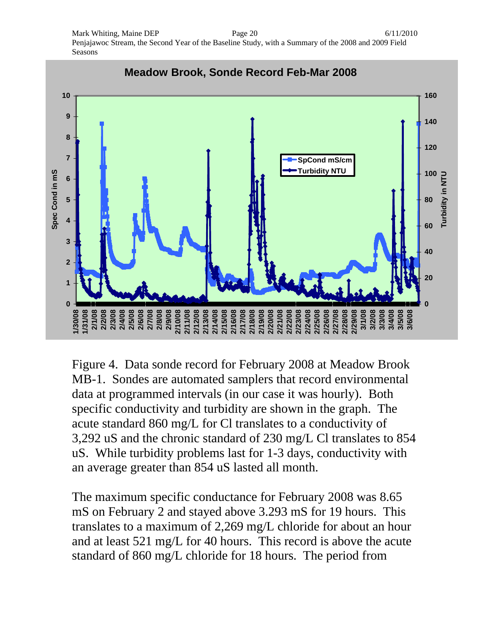Mark Whiting, Maine DEP **Page 20** 6/11/2010 Penjajawoc Stream, the Second Year of the Baseline Study, with a Summary of the 2008 and 2009 Field Seasons



Figure 4. Data sonde record for February 2008 at Meadow Brook MB-1. Sondes are automated samplers that record environmental data at programmed intervals (in our case it was hourly). Both specific conductivity and turbidity are shown in the graph. The acute standard 860 mg/L for Cl translates to a conductivity of 3,292 uS and the chronic standard of 230 mg/L Cl translates to 854 uS. While turbidity problems last for 1-3 days, conductivity with an average greater than 854 uS lasted all month.

The maximum specific conductance for February 2008 was 8.65 mS on February 2 and stayed above 3.293 mS for 19 hours. This translates to a maximum of 2,269 mg/L chloride for about an hour and at least 521 mg/L for 40 hours. This record is above the acute standard of 860 mg/L chloride for 18 hours. The period from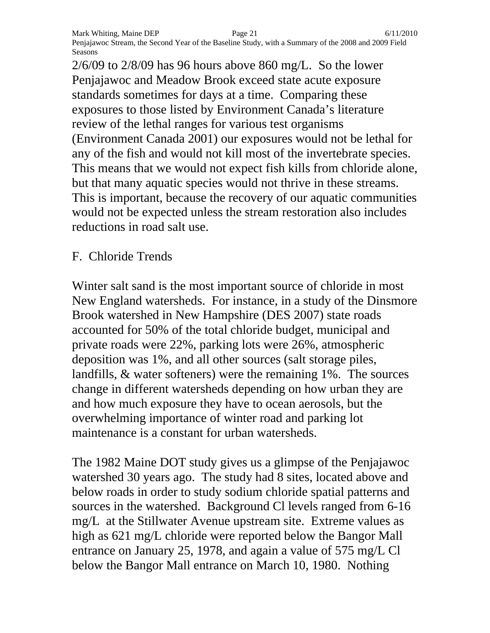2/6/09 to 2/8/09 has 96 hours above 860 mg/L. So the lower Penjajawoc and Meadow Brook exceed state acute exposure standards sometimes for days at a time. Comparing these exposures to those listed by Environment Canada's literature review of the lethal ranges for various test organisms (Environment Canada 2001) our exposures would not be lethal for any of the fish and would not kill most of the invertebrate species. This means that we would not expect fish kills from chloride alone, but that many aquatic species would not thrive in these streams. This is important, because the recovery of our aquatic communities would not be expected unless the stream restoration also includes reductions in road salt use.

F. Chloride Trends

Winter salt sand is the most important source of chloride in most New England watersheds. For instance, in a study of the Dinsmore Brook watershed in New Hampshire (DES 2007) state roads accounted for 50% of the total chloride budget, municipal and private roads were 22%, parking lots were 26%, atmospheric deposition was 1%, and all other sources (salt storage piles, landfills, & water softeners) were the remaining 1%. The sources change in different watersheds depending on how urban they are and how much exposure they have to ocean aerosols, but the overwhelming importance of winter road and parking lot maintenance is a constant for urban watersheds.

The 1982 Maine DOT study gives us a glimpse of the Penjajawoc watershed 30 years ago. The study had 8 sites, located above and below roads in order to study sodium chloride spatial patterns and sources in the watershed. Background Cl levels ranged from 6-16 mg/L at the Stillwater Avenue upstream site. Extreme values as high as 621 mg/L chloride were reported below the Bangor Mall entrance on January 25, 1978, and again a value of 575 mg/L Cl below the Bangor Mall entrance on March 10, 1980. Nothing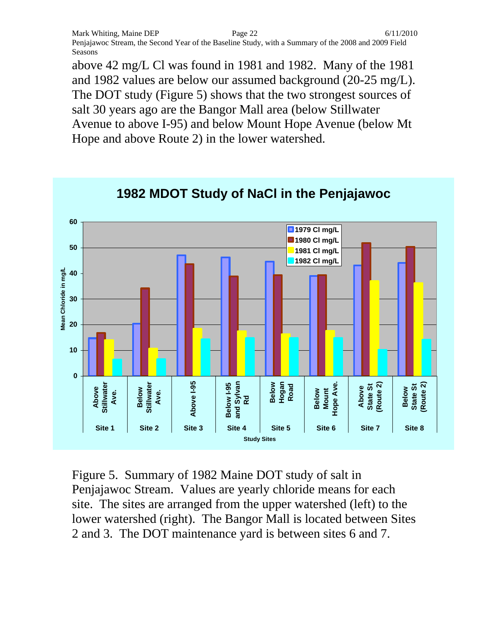above 42 mg/L Cl was found in 1981 and 1982. Many of the 1981 and 1982 values are below our assumed background (20-25 mg/L). The DOT study (Figure 5) shows that the two strongest sources of salt 30 years ago are the Bangor Mall area (below Stillwater Avenue to above I-95) and below Mount Hope Avenue (below Mt Hope and above Route 2) in the lower watershed.



**1982 MDOT Study of NaCl in the Penjajawoc**

Figure 5. Summary of 1982 Maine DOT study of salt in Penjajawoc Stream. Values are yearly chloride means for each site. The sites are arranged from the upper watershed (left) to the lower watershed (right). The Bangor Mall is located between Sites 2 and 3. The DOT maintenance yard is between sites 6 and 7.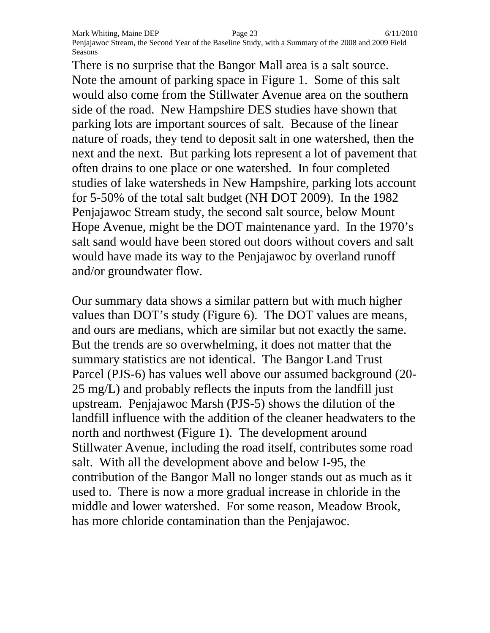There is no surprise that the Bangor Mall area is a salt source. Note the amount of parking space in Figure 1. Some of this salt would also come from the Stillwater Avenue area on the southern side of the road. New Hampshire DES studies have shown that parking lots are important sources of salt. Because of the linear nature of roads, they tend to deposit salt in one watershed, then the next and the next. But parking lots represent a lot of pavement that often drains to one place or one watershed. In four completed studies of lake watersheds in New Hampshire, parking lots account for 5-50% of the total salt budget (NH DOT 2009). In the 1982 Penjajawoc Stream study, the second salt source, below Mount Hope Avenue, might be the DOT maintenance yard. In the 1970's salt sand would have been stored out doors without covers and salt would have made its way to the Penjajawoc by overland runoff and/or groundwater flow.

Our summary data shows a similar pattern but with much higher values than DOT's study (Figure 6). The DOT values are means, and ours are medians, which are similar but not exactly the same. But the trends are so overwhelming, it does not matter that the summary statistics are not identical. The Bangor Land Trust Parcel (PJS-6) has values well above our assumed background (20- 25 mg/L) and probably reflects the inputs from the landfill just upstream. Penjajawoc Marsh (PJS-5) shows the dilution of the landfill influence with the addition of the cleaner headwaters to the north and northwest (Figure 1). The development around Stillwater Avenue, including the road itself, contributes some road salt. With all the development above and below I-95, the contribution of the Bangor Mall no longer stands out as much as it used to. There is now a more gradual increase in chloride in the middle and lower watershed. For some reason, Meadow Brook, has more chloride contamination than the Penjajawoc.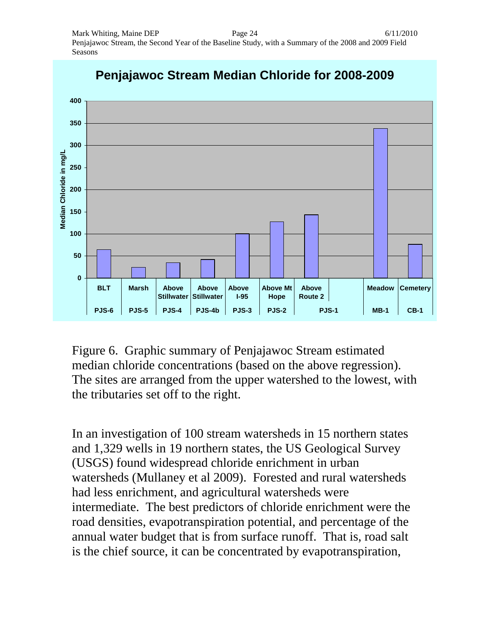

## **Penjajawoc Stream Median Chloride for 2008-2009**

Figure 6. Graphic summary of Penjajawoc Stream estimated median chloride concentrations (based on the above regression). The sites are arranged from the upper watershed to the lowest, with the tributaries set off to the right.

In an investigation of 100 stream watersheds in 15 northern states and 1,329 wells in 19 northern states, the US Geological Survey (USGS) found widespread chloride enrichment in urban watersheds (Mullaney et al 2009). Forested and rural watersheds had less enrichment, and agricultural watersheds were intermediate. The best predictors of chloride enrichment were the road densities, evapotranspiration potential, and percentage of the annual water budget that is from surface runoff. That is, road salt is the chief source, it can be concentrated by evapotranspiration,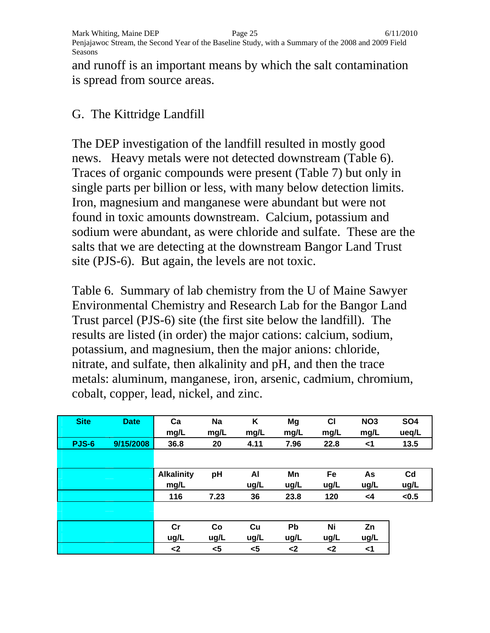and runoff is an important means by which the salt contamination is spread from source areas.

#### G. The Kittridge Landfill

The DEP investigation of the landfill resulted in mostly good news. Heavy metals were not detected downstream (Table 6). Traces of organic compounds were present (Table 7) but only in single parts per billion or less, with many below detection limits. Iron, magnesium and manganese were abundant but were not found in toxic amounts downstream. Calcium, potassium and sodium were abundant, as were chloride and sulfate. These are the salts that we are detecting at the downstream Bangor Land Trust site (PJS-6). But again, the levels are not toxic.

Table 6. Summary of lab chemistry from the U of Maine Sawyer Environmental Chemistry and Research Lab for the Bangor Land Trust parcel (PJS-6) site (the first site below the landfill). The results are listed (in order) the major cations: calcium, sodium, potassium, and magnesium, then the major anions: chloride, nitrate, and sulfate, then alkalinity and pH, and then the trace metals: aluminum, manganese, iron, arsenic, cadmium, chromium, cobalt, copper, lead, nickel, and zinc.

| <b>Site</b>  | <b>Date</b> | Ca                | <b>Na</b> | Κ    | Mg            | C1            | NO <sub>3</sub> | <b>SO4</b>     |
|--------------|-------------|-------------------|-----------|------|---------------|---------------|-----------------|----------------|
|              |             | mg/L              | mg/L      | mg/L | mg/L          | mg/L          | mg/L            | ueq/L          |
| <b>PJS-6</b> | 9/15/2008   | 36.8              | 20        | 4.11 | 7.96          | 22.8          | $<$ 1           | 13.5           |
|              |             |                   |           |      |               |               |                 |                |
|              |             | <b>Alkalinity</b> | pH        | AI   | Mn            | Fe            | As              | C <sub>d</sub> |
|              |             | mg/L              |           | ug/L | ug/L          | ug/L          | ug/L            | ug/L           |
|              |             | 116               | 7.23      | 36   | 23.8          | 120           | $\leq 4$        | < 0.5          |
|              |             |                   |           |      |               |               |                 |                |
|              |             | cr                | Co        | Cu   | Pb            | Ni            | Zn              |                |
|              |             | ug/L              | ug/L      | ug/L | ug/L          | ug/L          | ug/L            |                |
|              |             | $2$               | $5$       | $5$  | $\mathbf{<}2$ | $\mathsf{<}2$ | $\leq$ 1        |                |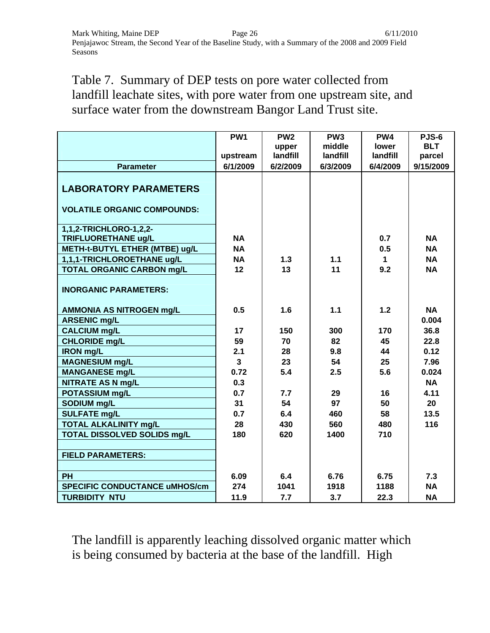Table 7. Summary of DEP tests on pore water collected from landfill leachate sites, with pore water from one upstream site, and surface water from the downstream Bangor Land Trust site.

|                                      | PW <sub>1</sub> | PW <sub>2</sub> | PW <sub>3</sub> | PW <sub>4</sub> | PJS-6      |
|--------------------------------------|-----------------|-----------------|-----------------|-----------------|------------|
|                                      |                 | upper           | middle          | lower           | <b>BLT</b> |
|                                      | upstream        | landfill        | landfill        | landfill        | parcel     |
| <b>Parameter</b>                     | 6/1/2009        | 6/2/2009        | 6/3/2009        | 6/4/2009        | 9/15/2009  |
| <b>LABORATORY PARAMETERS</b>         |                 |                 |                 |                 |            |
| <b>VOLATILE ORGANIC COMPOUNDS:</b>   |                 |                 |                 |                 |            |
| 1,1,2-TRICHLORO-1,2,2-               |                 |                 |                 |                 |            |
| <b>TRIFLUORETHANE ug/L</b>           | <b>NA</b>       |                 |                 | 0.7             | <b>NA</b>  |
| METH-t-BUTYL ETHER (MTBE) ug/L       | <b>NA</b>       |                 |                 | 0.5             | <b>NA</b>  |
| 1,1,1-TRICHLOROETHANE ug/L           | <b>NA</b>       | 1.3             | 1.1             | 1.              | <b>NA</b>  |
| <b>TOTAL ORGANIC CARBON mg/L</b>     | 12              | 13              | 11              | 9.2             | <b>NA</b>  |
| <b>INORGANIC PARAMETERS:</b>         |                 |                 |                 |                 |            |
| <b>AMMONIA AS NITROGEN mg/L</b>      | 0.5             | 1.6             | $1.1$           | 1.2             | <b>NA</b>  |
| <b>ARSENIC mg/L</b>                  |                 |                 |                 |                 | 0.004      |
| <b>CALCIUM mg/L</b>                  | 17              | 150             | 300             | 170             | 36.8       |
| <b>CHLORIDE mg/L</b>                 | 59              | 70              | 82              | 45              | 22.8       |
| <b>IRON mg/L</b>                     | 2.1             | 28              | 9.8             | 44              | 0.12       |
| <b>MAGNESIUM mg/L</b>                | $\overline{3}$  | 23              | 54              | 25              | 7.96       |
| <b>MANGANESE mg/L</b>                | 0.72            | 5.4             | 2.5             | 5.6             | 0.024      |
| <b>NITRATE AS N mg/L</b>             | 0.3             |                 |                 |                 | <b>NA</b>  |
| POTASSIUM mg/L                       | 0.7             | 7.7             | 29              | 16              | 4.11       |
| SODIUM mg/L                          | 31              | 54              | 97              | 50              | 20         |
| <b>SULFATE mg/L</b>                  | 0.7             | 6.4             | 460             | 58              | 13.5       |
| <b>TOTAL ALKALINITY mg/L</b>         | 28              | 430             | 560             | 480             | 116        |
| TOTAL DISSOLVED SOLIDS mg/L          | 180             | 620             | 1400            | 710             |            |
|                                      |                 |                 |                 |                 |            |
| <b>FIELD PARAMETERS:</b>             |                 |                 |                 |                 |            |
|                                      |                 |                 |                 |                 |            |
| <b>PH</b>                            | 6.09            | 6.4             | 6.76            | 6.75            | 7.3        |
| <b>SPECIFIC CONDUCTANCE uMHOS/cm</b> | 274             | 1041            | 1918            | 1188            | <b>NA</b>  |
| <b>TURBIDITY NTU</b>                 | 11.9            | 7.7             | 3.7             | 22.3            | <b>NA</b>  |

The landfill is apparently leaching dissolved organic matter which is being consumed by bacteria at the base of the landfill. High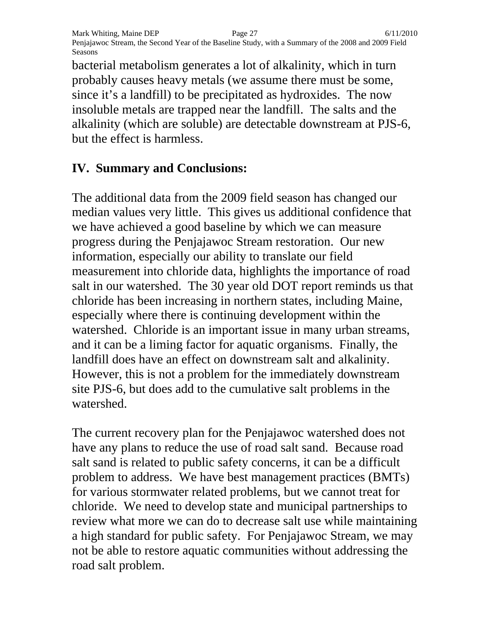bacterial metabolism generates a lot of alkalinity, which in turn probably causes heavy metals (we assume there must be some, since it's a landfill) to be precipitated as hydroxides. The now insoluble metals are trapped near the landfill. The salts and the alkalinity (which are soluble) are detectable downstream at PJS-6, but the effect is harmless.

### **IV. Summary and Conclusions:**

The additional data from the 2009 field season has changed our median values very little. This gives us additional confidence that we have achieved a good baseline by which we can measure progress during the Penjajawoc Stream restoration. Our new information, especially our ability to translate our field measurement into chloride data, highlights the importance of road salt in our watershed. The 30 year old DOT report reminds us that chloride has been increasing in northern states, including Maine, especially where there is continuing development within the watershed. Chloride is an important issue in many urban streams, and it can be a liming factor for aquatic organisms. Finally, the landfill does have an effect on downstream salt and alkalinity. However, this is not a problem for the immediately downstream site PJS-6, but does add to the cumulative salt problems in the watershed.

The current recovery plan for the Penjajawoc watershed does not have any plans to reduce the use of road salt sand. Because road salt sand is related to public safety concerns, it can be a difficult problem to address. We have best management practices (BMTs) for various stormwater related problems, but we cannot treat for chloride. We need to develop state and municipal partnerships to review what more we can do to decrease salt use while maintaining a high standard for public safety. For Penjajawoc Stream, we may not be able to restore aquatic communities without addressing the road salt problem.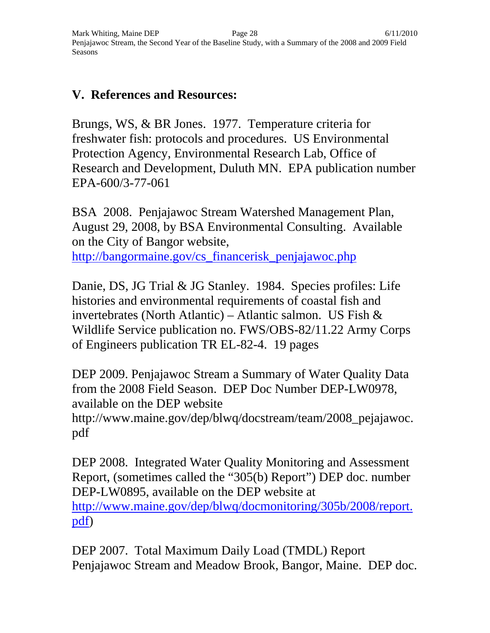#### **V. References and Resources:**

Brungs, WS, & BR Jones. 1977. Temperature criteria for freshwater fish: protocols and procedures. US Environmental Protection Agency, Environmental Research Lab, Office of Research and Development, Duluth MN. EPA publication number EPA-600/3-77-061

BSA 2008. Penjajawoc Stream Watershed Management Plan, August 29, 2008, by BSA Environmental Consulting. Available on the City of Bangor website,

http://bangormaine.gov/cs\_financerisk\_penjajawoc.php

Danie, DS, JG Trial & JG Stanley. 1984. Species profiles: Life histories and environmental requirements of coastal fish and invertebrates (North Atlantic) – Atlantic salmon. US Fish  $\&$ Wildlife Service publication no. FWS/OBS-82/11.22 Army Corps of Engineers publication TR EL-82-4. 19 pages

DEP 2009. Penjajawoc Stream a Summary of Water Quality Data from the 2008 Field Season. DEP Doc Number DEP-LW0978, available on the DEP website http://www.maine.gov/dep/blwq/docstream/team/2008\_pejajawoc. pdf

DEP 2008. Integrated Water Quality Monitoring and Assessment Report, (sometimes called the "305(b) Report") DEP doc. number DEP-LW0895, available on the DEP website at http://www.maine.gov/dep/blwq/docmonitoring/305b/2008/report. pdf)

DEP 2007. Total Maximum Daily Load (TMDL) Report Penjajawoc Stream and Meadow Brook, Bangor, Maine. DEP doc.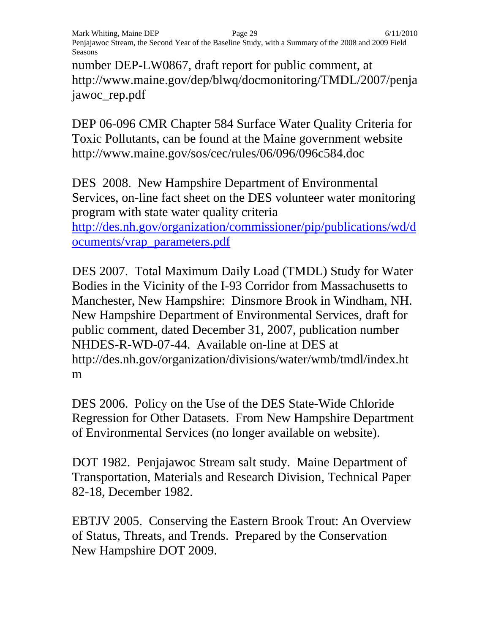number DEP-LW0867, draft report for public comment, at http://www.maine.gov/dep/blwq/docmonitoring/TMDL/2007/penja jawoc\_rep.pdf

DEP 06-096 CMR Chapter 584 Surface Water Quality Criteria for Toxic Pollutants, can be found at the Maine government website http://www.maine.gov/sos/cec/rules/06/096/096c584.doc

DES 2008. New Hampshire Department of Environmental Services, on-line fact sheet on the DES volunteer water monitoring program with state water quality criteria http://des.nh.gov/organization/commissioner/pip/publications/wd/d ocuments/vrap\_parameters.pdf

DES 2007. Total Maximum Daily Load (TMDL) Study for Water Bodies in the Vicinity of the I-93 Corridor from Massachusetts to Manchester, New Hampshire: Dinsmore Brook in Windham, NH. New Hampshire Department of Environmental Services, draft for public comment, dated December 31, 2007, publication number NHDES-R-WD-07-44. Available on-line at DES at http://des.nh.gov/organization/divisions/water/wmb/tmdl/index.ht m

DES 2006. Policy on the Use of the DES State-Wide Chloride Regression for Other Datasets. From New Hampshire Department of Environmental Services (no longer available on website).

DOT 1982. Penjajawoc Stream salt study. Maine Department of Transportation, Materials and Research Division, Technical Paper 82-18, December 1982.

EBTJV 2005. Conserving the Eastern Brook Trout: An Overview of Status, Threats, and Trends. Prepared by the Conservation New Hampshire DOT 2009.